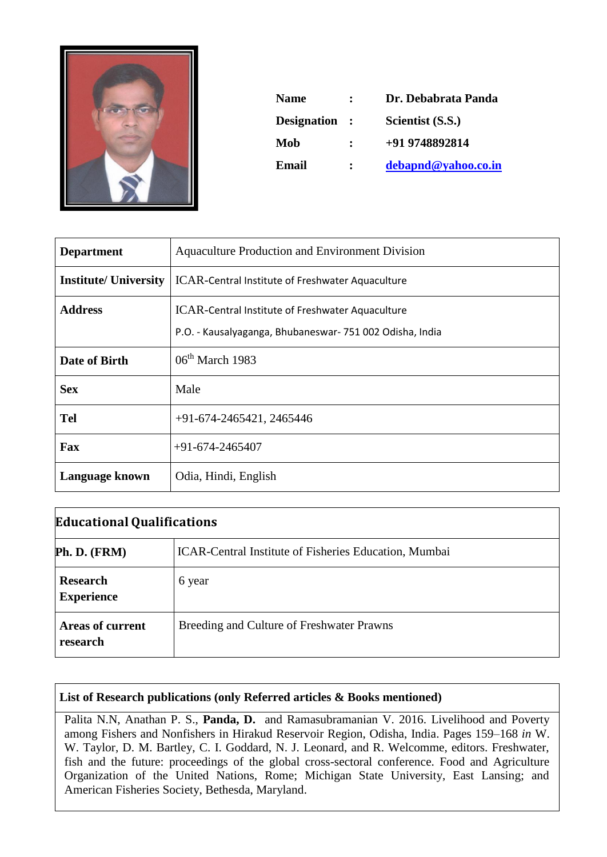

| <b>Name</b>        | $\ddot{\phantom{a}}$        | Dr. Debabrata Panda |
|--------------------|-----------------------------|---------------------|
| <b>Designation</b> | $\mathcal{L} = \mathcal{L}$ | Scientist (S.S.)    |
| Mob                | $\ddot{\phantom{a}}$        | +91 9748892814      |
| Email              | ٠.                          | debapnd@yahoo.co.in |

| <b>Department</b>            | <b>Aquaculture Production and Environment Division</b>  |
|------------------------------|---------------------------------------------------------|
| <b>Institute/ University</b> | ICAR-Central Institute of Freshwater Aquaculture        |
| <b>Address</b>               | ICAR-Central Institute of Freshwater Aquaculture        |
|                              | P.O. - Kausalyaganga, Bhubaneswar-751 002 Odisha, India |
| Date of Birth                | $06th$ March 1983                                       |
| <b>Sex</b>                   | Male                                                    |
| <b>Tel</b>                   | $+91-674-2465421, 2465446$                              |
| Fax                          | $+91-674-2465407$                                       |
| Language known               | Odia, Hindi, English                                    |

| <b>Educational Qualifications</b>    |                                                       |  |
|--------------------------------------|-------------------------------------------------------|--|
| Ph. D. (FRM)                         | ICAR-Central Institute of Fisheries Education, Mumbai |  |
| <b>Research</b><br><b>Experience</b> | 6 year                                                |  |
| <b>Areas of current</b><br>research  | Breeding and Culture of Freshwater Prawns             |  |

## **List of Research publications (only Referred articles & Books mentioned)**

Palita N.N, Anathan P. S., **Panda, D.** and Ramasubramanian V. 2016. Livelihood and Poverty among Fishers and Nonfishers in Hirakud Reservoir Region, Odisha, India. Pages 159–168 *in* W. W. Taylor, D. M. Bartley, C. I. Goddard, N. J. Leonard, and R. Welcomme, editors. Freshwater, fish and the future: proceedings of the global cross-sectoral conference. Food and Agriculture Organization of the United Nations, Rome; Michigan State University, East Lansing; and American Fisheries Society, Bethesda, Maryland.